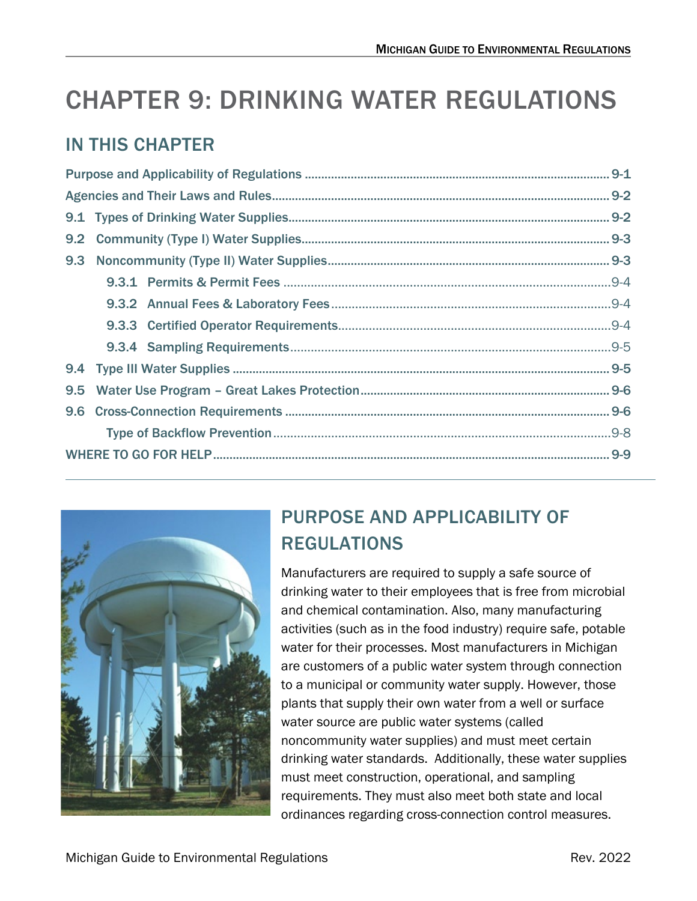# CHAPTER 9: DRINKING WATER REGULATIONS

# IN THIS CHAPTER

| 9.2 |  |  |  |
|-----|--|--|--|
| 9.3 |  |  |  |
|     |  |  |  |
|     |  |  |  |
|     |  |  |  |
|     |  |  |  |
|     |  |  |  |
| 9.5 |  |  |  |
|     |  |  |  |
|     |  |  |  |
|     |  |  |  |
|     |  |  |  |



# <span id="page-0-0"></span>PURPOSE AND APPLICABILITY OF REGULATIONS

Manufacturers are required to supply a safe source of drinking water to their employees that is free from microbial and chemical contamination. Also, many manufacturing activities (such as in the food industry) require safe, potable water for their processes. Most manufacturers in Michigan are customers of a public water system through connection to a municipal or community water supply. However, those plants that supply their own water from a well or surface water source are public water systems (called noncommunity water supplies) and must meet certain drinking water standards. Additionally, these water supplies must meet construction, operational, and sampling requirements. They must also meet both state and local ordinances regarding cross-connection control measures.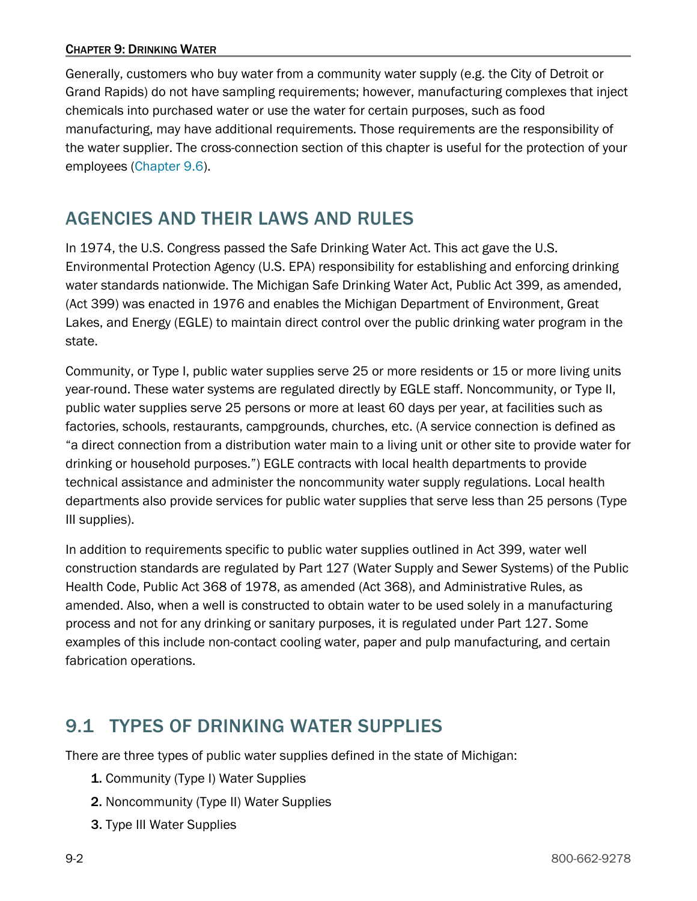Generally, customers who buy water from a community water supply (e.g. the City of Detroit or Grand Rapids) do not have sampling requirements; however, manufacturing complexes that inject chemicals into purchased water or use the water for certain purposes, such as food manufacturing, may have additional requirements. Those requirements are the responsibility of the water supplier. The cross-connection section of this chapter is useful for the protection of your employees [\(Chapter 9.6\)](#page-5-0).

# <span id="page-1-0"></span>AGENCIES AND THEIR LAWS AND RULES

In 1974, the U.S. Congress passed the Safe Drinking Water Act. This act gave the U.S. Environmental Protection Agency (U.S. EPA) responsibility for establishing and enforcing drinking water standards nationwide. The Michigan Safe Drinking Water Act, Public Act 399, as amended, (Act 399) was enacted in 1976 and enables the Michigan Department of Environment, Great Lakes, and Energy (EGLE) to maintain direct control over the public drinking water program in the state.

Community, or Type I, public water supplies serve 25 or more residents or 15 or more living units year-round. These water systems are regulated directly by EGLE staff. Noncommunity, or Type II, public water supplies serve 25 persons or more at least 60 days per year, at facilities such as factories, schools, restaurants, campgrounds, churches, etc. (A service connection is defined as "a direct connection from a distribution water main to a living unit or other site to provide water for drinking or household purposes.") EGLE contracts with local health departments to provide technical assistance and administer the noncommunity water supply regulations. Local health departments also provide services for public water supplies that serve less than 25 persons (Type III supplies).

In addition to requirements specific to public water supplies outlined in Act 399, water well construction standards are regulated by Part 127 (Water Supply and Sewer Systems) of the Public Health Code, Public Act 368 of 1978, as amended (Act 368), and Administrative Rules, as amended. Also, when a well is constructed to obtain water to be used solely in a manufacturing process and not for any drinking or sanitary purposes, it is regulated under Part 127. Some examples of this include non-contact cooling water, paper and pulp manufacturing, and certain fabrication operations.

# <span id="page-1-1"></span>9.1 TYPES OF DRINKING WATER SUPPLIES

There are three types of public water supplies defined in the state of Michigan:

- 1. Community (Type I) Water Supplies
- 2. Noncommunity (Type II) Water Supplies
- 3. Type III Water Supplies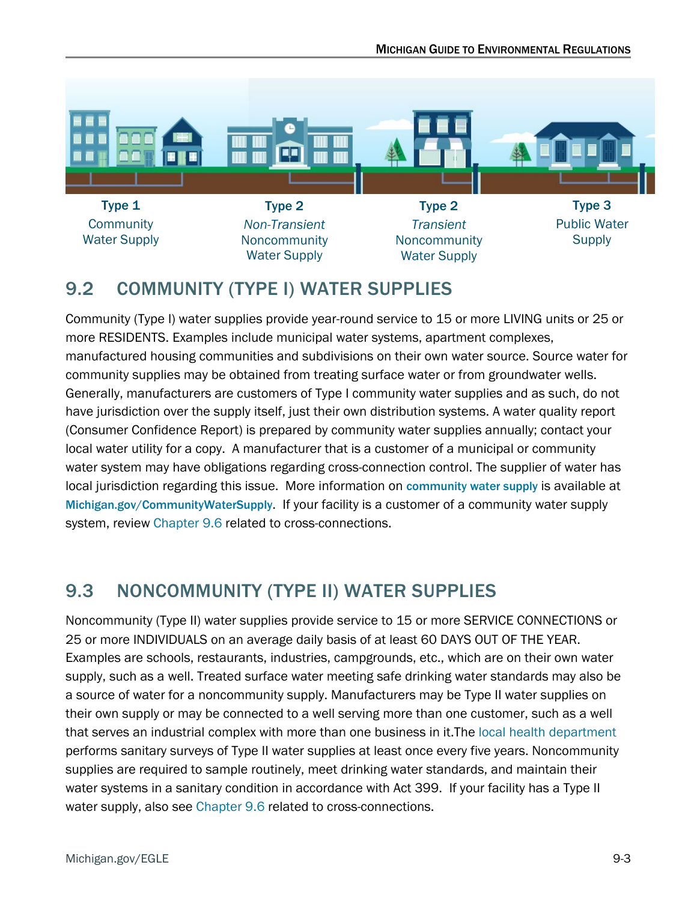

# <span id="page-2-0"></span>9.2 COMMUNITY (TYPE I) WATER SUPPLIES

Community (Type I) water supplies provide year-round service to 15 or more LIVING units or 25 or more RESIDENTS. Examples include municipal water systems, apartment complexes, manufactured housing communities and subdivisions on their own water source. Source water for community supplies may be obtained from treating surface water or from groundwater wells. Generally, manufacturers are customers of Type I community water supplies and as such, do not have jurisdiction over the supply itself, just their own distribution systems. A water quality report (Consumer Confidence Report) is prepared by community water supplies annually; contact your local water utility for a copy. A manufacturer that is a customer of a municipal or community water system may have obligations regarding cross-connection control. The supplier of water has local jurisdiction regarding this issue. More information on [community water supply](https://www.michigan.gov/egle/about/organization/drinking-water-and-environmental-health/community-water-supply) is available at [Michigan.gov/CommunityWaterSupply](https://www.michigan.gov/egle/about/organization/drinking-water-and-environmental-health/community-water-supply). If your facility is a customer of a community water supply system, review [Chapter 9.6 r](#page-5-0)elated to cross-connections.

# <span id="page-2-1"></span>9.3 NONCOMMUNITY (TYPE II) WATER SUPPLIES

Noncommunity (Type II) water supplies provide service to 15 or more SERVICE CONNECTIONS or 25 or more INDIVIDUALS on an average daily basis of at least 60 DAYS OUT OF THE YEAR. Examples are schools, restaurants, industries, campgrounds, etc., which are on their own water supply, such as a well. Treated surface water meeting safe drinking water standards may also be a source of water for a noncommunity supply. Manufacturers may be Type II water supplies on their own supply or may be connected to a well serving more than one customer, such as a well that serves an industrial complex with more than one business in it.The [local health department](https://www.michigan.gov/mdhhs/inside-mdhhs/county-offices/lhd) performs sanitary surveys of Type II water supplies at least once every five years. Noncommunity supplies are required to sample routinely, meet drinking water standards, and maintain their water systems in a sanitary condition in accordance with Act 399. If your facility has a Type II water supply, also see [Chapter 9.6 r](#page-5-0)elated to cross-connections.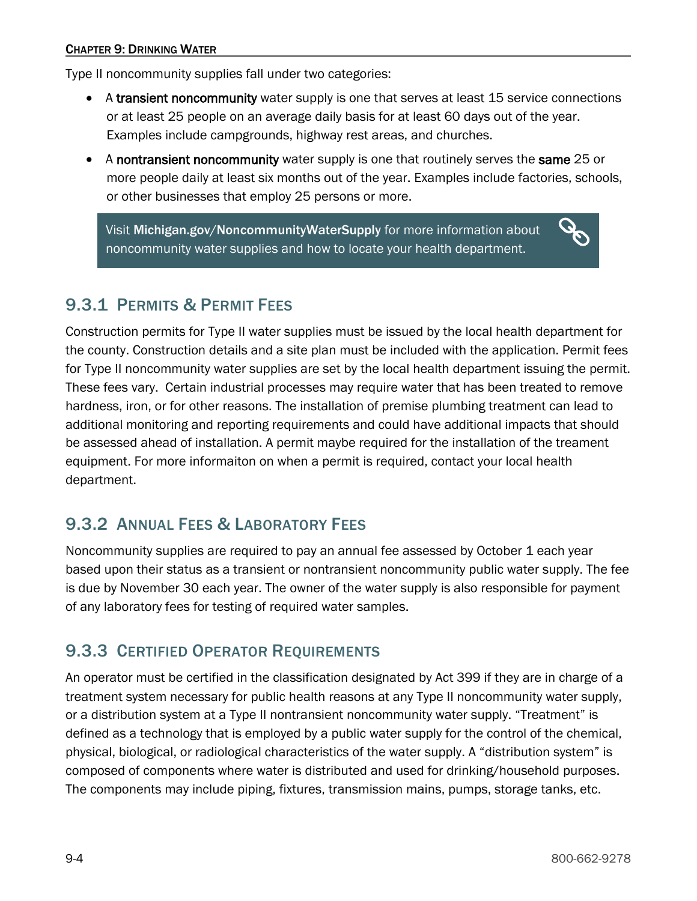Type II noncommunity supplies fall under two categories:

- A transient noncommunity water supply is one that serves at least 15 service connections or at least 25 people on an average daily basis for at least 60 days out of the year. Examples include campgrounds, highway rest areas, and churches.
- A nontransient noncommunity water supply is one that routinely serves the same 25 or more people daily at least six months out of the year. Examples include factories, schools, or other businesses that employ 25 persons or more.

Visit [Michigan.gov/NoncommunityWaterSupply](http://www.michigan.gov/NoncommunityWaterSupply) for more information about noncommunity water supplies and how to locate your health department.

# <span id="page-3-0"></span>9.3.1 PERMITS & PERMIT FEES

Construction permits for Type II water supplies must be issued by the local health department for the county. Construction details and a site plan must be included with the application. Permit fees for Type II noncommunity water supplies are set by the local health department issuing the permit. These fees vary. Certain industrial processes may require water that has been treated to remove hardness, iron, or for other reasons. The installation of premise plumbing treatment can lead to additional monitoring and reporting requirements and could have additional impacts that should be assessed ahead of installation. A permit maybe required for the installation of the treament equipment. For more informaiton on when a permit is required, contact your local health department.

## <span id="page-3-1"></span>9.3.2 ANNUAL FEES & LABORATORY FEES

Noncommunity supplies are required to pay an annual fee assessed by October 1 each year based upon their status as a transient or nontransient noncommunity public water supply. The fee is due by November 30 each year. The owner of the water supply is also responsible for payment of any laboratory fees for testing of required water samples.

#### <span id="page-3-2"></span>9.3.3 CERTIFIED OPERATOR REQUIREMENTS

An operator must be certified in the classification designated by Act 399 if they are in charge of a treatment system necessary for public health reasons at any Type II noncommunity water supply, or a distribution system at a Type II nontransient noncommunity water supply. "Treatment" is defined as a technology that is employed by a public water supply for the control of the chemical, physical, biological, or radiological characteristics of the water supply. A "distribution system" is composed of components where water is distributed and used for drinking/household purposes. The components may include piping, fixtures, transmission mains, pumps, storage tanks, etc.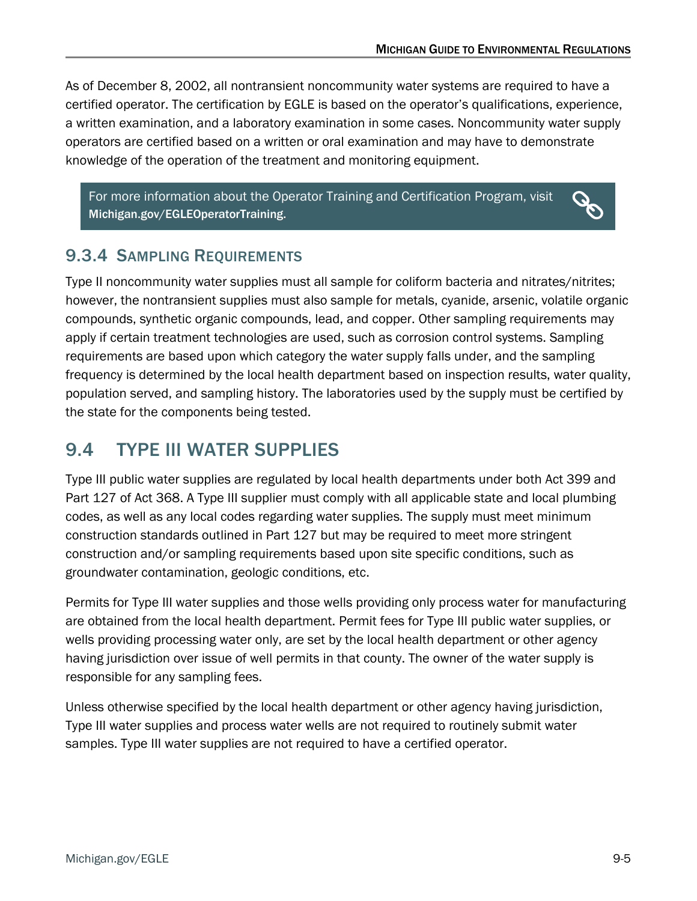As of December 8, 2002, all nontransient noncommunity water systems are required to have a certified operator. The certification by EGLE is based on the operator's qualifications, experience, a written examination, and a laboratory examination in some cases. Noncommunity water supply operators are certified based on a written or oral examination and may have to demonstrate knowledge of the operation of the treatment and monitoring equipment.

For more information about the Operator Training and Certification Program, visit [Michigan.gov/EGLEOperatorTraining.](https://www.michigan.gov/egle/about/organization/drinking-water-and-environmental-health/drinking-water-operator-certification)



#### <span id="page-4-0"></span>9.3.4 SAMPLING REQUIREMENTS

Type II noncommunity water supplies must all sample for coliform bacteria and nitrates/nitrites; however, the nontransient supplies must also sample for metals, cyanide, arsenic, volatile organic compounds, synthetic organic compounds, lead, and copper. Other sampling requirements may apply if certain treatment technologies are used, such as corrosion control systems. Sampling requirements are based upon which category the water supply falls under, and the sampling frequency is determined by the local health department based on inspection results, water quality, population served, and sampling history. The laboratories used by the supply must be certified by the state for the components being tested.

# <span id="page-4-1"></span>9.4 TYPE III WATER SUPPLIES

Type III public water supplies are regulated by local health departments under both Act 399 and Part 127 of Act 368. A Type III supplier must comply with all applicable state and local plumbing codes, as well as any local codes regarding water supplies. The supply must meet minimum construction standards outlined in Part 127 but may be required to meet more stringent construction and/or sampling requirements based upon site specific conditions, such as groundwater contamination, geologic conditions, etc.

Permits for Type III water supplies and those wells providing only process water for manufacturing are obtained from the local health department. Permit fees for Type III public water supplies, or wells providing processing water only, are set by the local health department or other agency having jurisdiction over issue of well permits in that county. The owner of the water supply is responsible for any sampling fees.

<span id="page-4-2"></span>Unless otherwise specified by the local health department or other agency having jurisdiction, Type III water supplies and process water wells are not required to routinely submit water samples. Type III water supplies are not required to have a certified operator.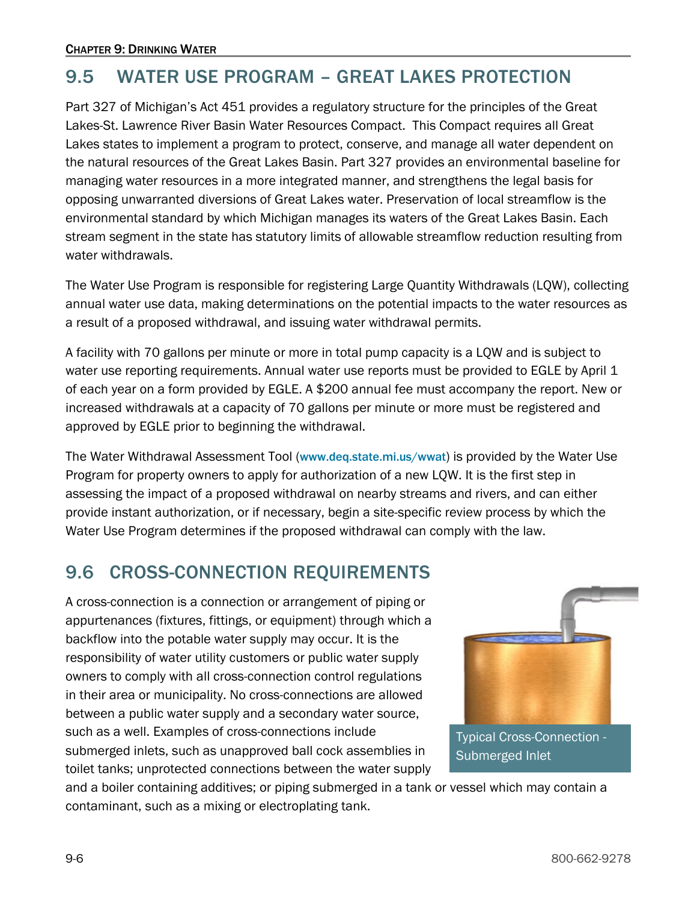# 9.5 WATER USE PROGRAM – GREAT LAKES PROTECTION

Part 327 of Michigan's Act 451 provides a regulatory structure for the principles of the Great Lakes-St. Lawrence River Basin Water Resources Compact. This Compact requires all Great Lakes states to implement a program to protect, conserve, and manage all water dependent on the natural resources of the Great Lakes Basin. Part 327 provides an environmental baseline for managing water resources in a more integrated manner, and strengthens the legal basis for opposing unwarranted diversions of Great Lakes water. Preservation of local streamflow is the environmental standard by which Michigan manages its waters of the Great Lakes Basin. Each stream segment in the state has statutory limits of allowable streamflow reduction resulting from water withdrawals.

The Water Use Program is responsible for registering Large Quantity Withdrawals (LQW), collecting annual water use data, making determinations on the potential impacts to the water resources as a result of a proposed withdrawal, and issuing water withdrawal permits.

A facility with 70 gallons per minute or more in total pump capacity is a LQW and is subject to water use reporting requirements. Annual water use reports must be provided to EGLE by April 1 of each year on a form provided by EGLE. A \$200 annual fee must accompany the report. New or increased withdrawals at a capacity of 70 gallons per minute or more must be registered and approved by EGLE prior to beginning the withdrawal.

The Water Withdrawal Assessment Tool [\(](http://www.deq.state.mi.us/wwat)[www.deq.state.mi.us/wwat](http://www.deq.state.mi.us/wwat)) is provided by the Water Use Program for property owners to apply for authorization of a new LQW. It is the first step in assessing the impact of a proposed withdrawal on nearby streams and rivers, and can either provide instant authorization, or if necessary, begin a site-specific review process by which the Water Use Program determines if the proposed withdrawal can comply with the law.

# 9.6 CROSS-CONNECTION REQUIREMENTS

<span id="page-5-0"></span>A cross-connection is a connection or arrangement of piping or appurtenances (fixtures, fittings, or equipment) through which a backflow into the potable water supply may occur. It is the responsibility of water utility customers or public water supply owners to comply with all cross-connection control regulations in their area or municipality. No cross-connections are allowed between a public water supply and a secondary water source, such as a well. Examples of cross-connections include submerged inlets, such as unapproved ball cock assemblies in toilet tanks; unprotected connections between the water supply



Typical Cross-Connection - Submerged Inlet

and a boiler containing additives; or piping submerged in a tank or vessel which may contain a contaminant, such as a mixing or electroplating tank.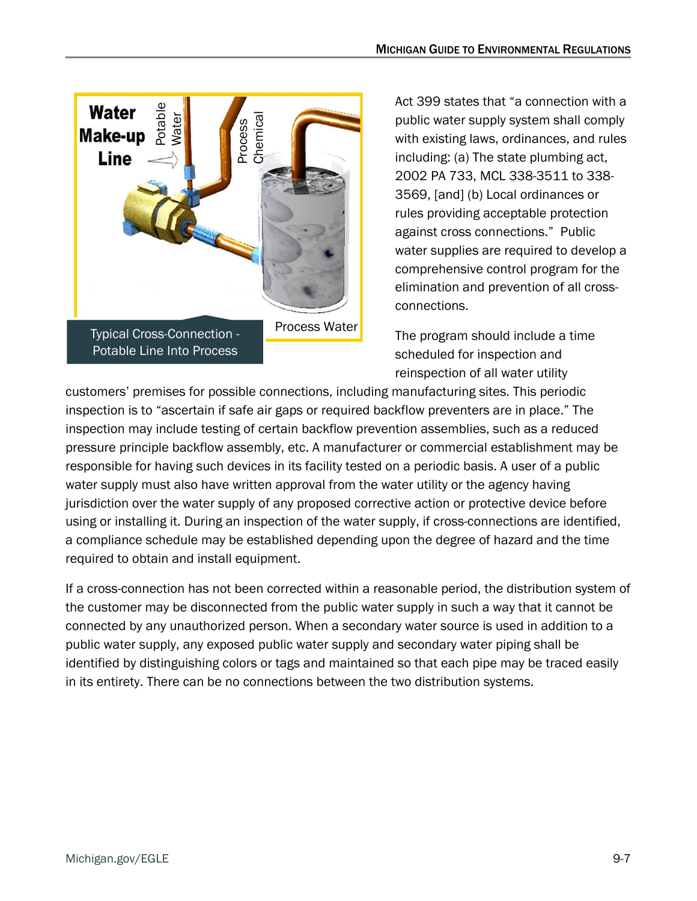

Act 399 states that "a connection with a public water supply system shall comply with existing laws, ordinances, and rules including: (a) The state plumbing act, 2002 PA 733, MCL 338-3511 to 338- 3569, [and] (b) Local ordinances or rules providing acceptable protection against cross connections." Public water supplies are required to develop a comprehensive control program for the elimination and prevention of all crossconnections.

The program should include a time scheduled for inspection and reinspection of all water utility

customers' premises for possible connections, including manufacturing sites. This periodic inspection is to "ascertain if safe air gaps or required backflow preventers are in place." The inspection may include testing of certain backflow prevention assemblies, such as a reduced pressure principle backflow assembly, etc. A manufacturer or commercial establishment may be responsible for having such devices in its facility tested on a periodic basis. A user of a public water supply must also have written approval from the water utility or the agency having jurisdiction over the water supply of any proposed corrective action or protective device before using or installing it. During an inspection of the water supply, if cross-connections are identified, a compliance schedule may be established depending upon the degree of hazard and the time required to obtain and install equipment.

If a cross-connection has not been corrected within a reasonable period, the distribution system of the customer may be disconnected from the public water supply in such a way that it cannot be connected by any unauthorized person. When a secondary water source is used in addition to a public water supply, any exposed public water supply and secondary water piping shall be identified by distinguishing colors or tags and maintained so that each pipe may be traced easily in its entirety. There can be no connections between the two distribution systems.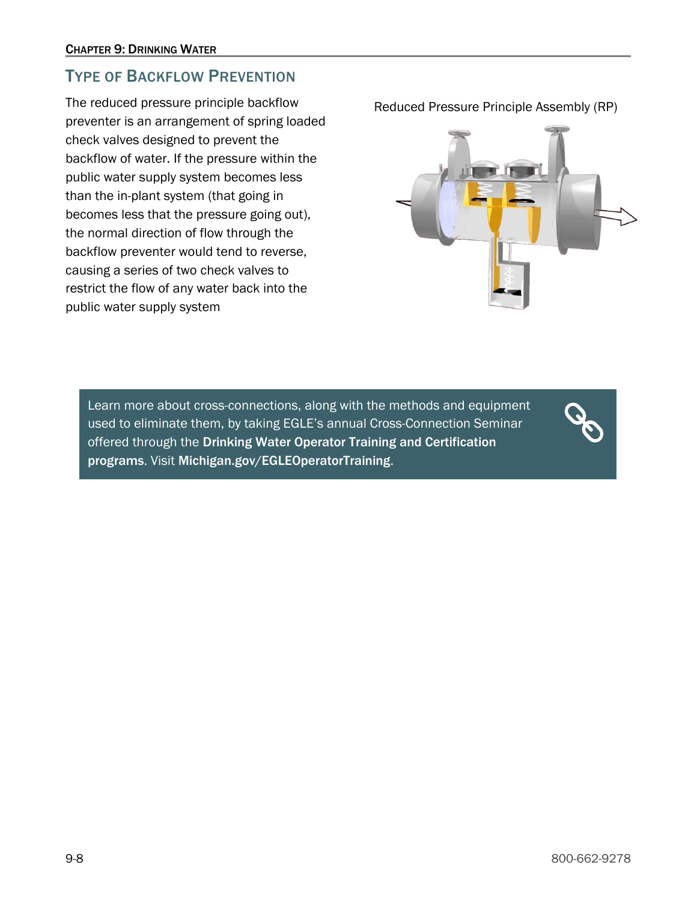#### <span id="page-7-0"></span>TYPE OF BACKFLOW PREVENTION

The reduced pressure principle backflow preventer is an arrangement of spring loaded check valves designed to prevent the backflow of water. If the pressure within the public water supply system becomes less than the in-plant system (that going in becomes less that the pressure going out), the normal direction of flow through the backflow preventer would tend to reverse, causing a series of two check valves to restrict the flow of any water back into the public water supply system

Reduced Pressure Principle Assembly (RP)



Learn more about cross-connections, along with the methods and equipment used to eliminate them, by taking EGLE's annual Cross-Connection Seminar offered through the [Drinking Water Operator Training and Certification](http://www.michigan.gov/deq/0,1607,7-135-3308_3333_4171-10155--,00.html)  [programs](http://www.michigan.gov/deq/0,1607,7-135-3308_3333_4171-10155--,00.html). Visit [Michigan.gov/EGLEOperatorTraining](https://www.michigan.gov/egle/about/organization/drinking-water-and-environmental-health/drinking-water-operator-certification).